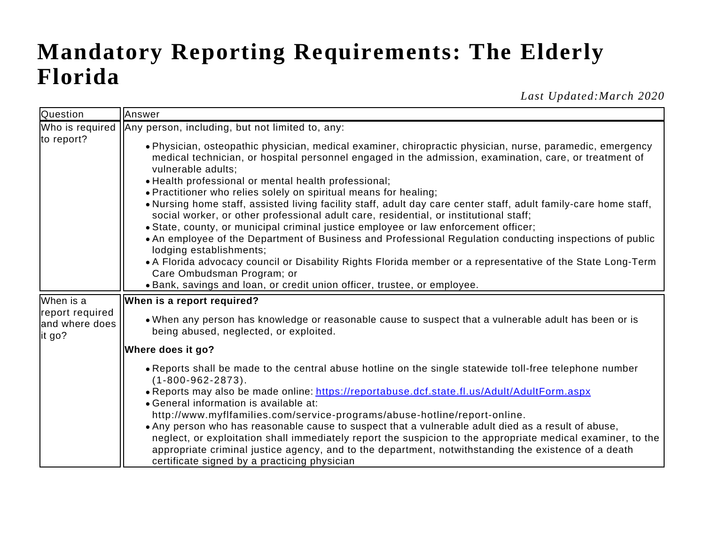## **Mandatory Reporting Requirements: The Elderly Florida**

*Last Updated:March 2020*

| Question                                     | Answer                                                                                                                                                                                                                                                                                                                                                                                                                                                                                                                                                                                                                                                                                                                                                                                                                                                                                                                                                                                                                                    |
|----------------------------------------------|-------------------------------------------------------------------------------------------------------------------------------------------------------------------------------------------------------------------------------------------------------------------------------------------------------------------------------------------------------------------------------------------------------------------------------------------------------------------------------------------------------------------------------------------------------------------------------------------------------------------------------------------------------------------------------------------------------------------------------------------------------------------------------------------------------------------------------------------------------------------------------------------------------------------------------------------------------------------------------------------------------------------------------------------|
|                                              | Who is required   Any person, including, but not limited to, any:                                                                                                                                                                                                                                                                                                                                                                                                                                                                                                                                                                                                                                                                                                                                                                                                                                                                                                                                                                         |
| to report?                                   | · Physician, osteopathic physician, medical examiner, chiropractic physician, nurse, paramedic, emergency<br>medical technician, or hospital personnel engaged in the admission, examination, care, or treatment of<br>vulnerable adults;<br>• Health professional or mental health professional;<br>• Practitioner who relies solely on spiritual means for healing;<br>. Nursing home staff, assisted living facility staff, adult day care center staff, adult family-care home staff,<br>social worker, or other professional adult care, residential, or institutional staff;<br>• State, county, or municipal criminal justice employee or law enforcement officer;<br>• An employee of the Department of Business and Professional Regulation conducting inspections of public<br>lodging establishments;<br>• A Florida advocacy council or Disability Rights Florida member or a representative of the State Long-Term<br>Care Ombudsman Program; or<br>• Bank, savings and loan, or credit union officer, trustee, or employee. |
| When is a                                    | When is a report required?                                                                                                                                                                                                                                                                                                                                                                                                                                                                                                                                                                                                                                                                                                                                                                                                                                                                                                                                                                                                                |
| report required<br>and where does<br>lit go? | . When any person has knowledge or reasonable cause to suspect that a vulnerable adult has been or is<br>being abused, neglected, or exploited.                                                                                                                                                                                                                                                                                                                                                                                                                                                                                                                                                                                                                                                                                                                                                                                                                                                                                           |
|                                              | Where does it go?                                                                                                                                                                                                                                                                                                                                                                                                                                                                                                                                                                                                                                                                                                                                                                                                                                                                                                                                                                                                                         |
|                                              | • Reports shall be made to the central abuse hotline on the single statewide toll-free telephone number<br>$(1 - 800 - 962 - 2873)$ .<br>. Reports may also be made online: https://reportabuse.dcf.state.fl.us/Adult/AdultForm.aspx<br>• General information is available at:<br>http://www.myflfamilies.com/service-programs/abuse-hotline/report-online.<br>• Any person who has reasonable cause to suspect that a vulnerable adult died as a result of abuse,<br>neglect, or exploitation shall immediately report the suspicion to the appropriate medical examiner, to the<br>appropriate criminal justice agency, and to the department, notwithstanding the existence of a death<br>certificate signed by a practicing physician                                                                                                                                                                                                                                                                                                 |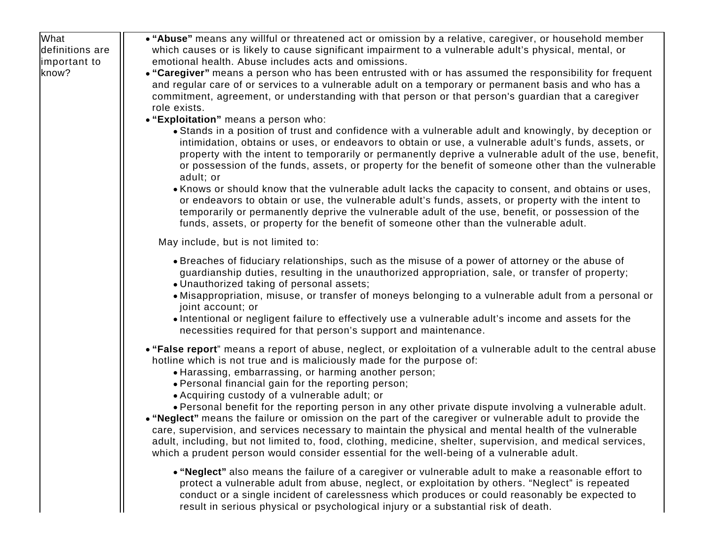| What            | • "Abuse" means any willful or threatened act or omission by a relative, caregiver, or household member                                                                                                                                                                                                                                                                                                                                                                                                                                                                                                                                                                                                                                                                                                 |
|-----------------|---------------------------------------------------------------------------------------------------------------------------------------------------------------------------------------------------------------------------------------------------------------------------------------------------------------------------------------------------------------------------------------------------------------------------------------------------------------------------------------------------------------------------------------------------------------------------------------------------------------------------------------------------------------------------------------------------------------------------------------------------------------------------------------------------------|
| definitions are | which causes or is likely to cause significant impairment to a vulnerable adult's physical, mental, or                                                                                                                                                                                                                                                                                                                                                                                                                                                                                                                                                                                                                                                                                                  |
| limportant to   | emotional health. Abuse includes acts and omissions.                                                                                                                                                                                                                                                                                                                                                                                                                                                                                                                                                                                                                                                                                                                                                    |
| know?           | . "Caregiver" means a person who has been entrusted with or has assumed the responsibility for frequent<br>and regular care of or services to a vulnerable adult on a temporary or permanent basis and who has a<br>commitment, agreement, or understanding with that person or that person's guardian that a caregiver<br>role exists.                                                                                                                                                                                                                                                                                                                                                                                                                                                                 |
|                 | • "Exploitation" means a person who:                                                                                                                                                                                                                                                                                                                                                                                                                                                                                                                                                                                                                                                                                                                                                                    |
|                 | • Stands in a position of trust and confidence with a vulnerable adult and knowingly, by deception or<br>intimidation, obtains or uses, or endeavors to obtain or use, a vulnerable adult's funds, assets, or<br>property with the intent to temporarily or permanently deprive a vulnerable adult of the use, benefit,<br>or possession of the funds, assets, or property for the benefit of someone other than the vulnerable<br>adult; or                                                                                                                                                                                                                                                                                                                                                            |
|                 | • Knows or should know that the vulnerable adult lacks the capacity to consent, and obtains or uses,<br>or endeavors to obtain or use, the vulnerable adult's funds, assets, or property with the intent to<br>temporarily or permanently deprive the vulnerable adult of the use, benefit, or possession of the<br>funds, assets, or property for the benefit of someone other than the vulnerable adult.                                                                                                                                                                                                                                                                                                                                                                                              |
|                 | May include, but is not limited to:                                                                                                                                                                                                                                                                                                                                                                                                                                                                                                                                                                                                                                                                                                                                                                     |
|                 | • Breaches of fiduciary relationships, such as the misuse of a power of attorney or the abuse of<br>guardianship duties, resulting in the unauthorized appropriation, sale, or transfer of property;<br>• Unauthorized taking of personal assets;<br>• Misappropriation, misuse, or transfer of moneys belonging to a vulnerable adult from a personal or<br>joint account; or<br>. Intentional or negligent failure to effectively use a vulnerable adult's income and assets for the<br>necessities required for that person's support and maintenance.                                                                                                                                                                                                                                               |
|                 | • "False report" means a report of abuse, neglect, or exploitation of a vulnerable adult to the central abuse<br>hotline which is not true and is maliciously made for the purpose of:<br>• Harassing, embarrassing, or harming another person;<br>. Personal financial gain for the reporting person;<br>• Acquiring custody of a vulnerable adult; or<br>. Personal benefit for the reporting person in any other private dispute involving a vulnerable adult.<br>. "Neglect" means the failure or omission on the part of the caregiver or vulnerable adult to provide the<br>care, supervision, and services necessary to maintain the physical and mental health of the vulnerable<br>adult, including, but not limited to, food, clothing, medicine, shelter, supervision, and medical services, |
|                 | which a prudent person would consider essential for the well-being of a vulnerable adult.                                                                                                                                                                                                                                                                                                                                                                                                                                                                                                                                                                                                                                                                                                               |
|                 | . "Neglect" also means the failure of a caregiver or vulnerable adult to make a reasonable effort to<br>protect a vulnerable adult from abuse, neglect, or exploitation by others. "Neglect" is repeated<br>conduct or a single incident of carelessness which produces or could reasonably be expected to<br>result in serious physical or psychological injury or a substantial risk of death.                                                                                                                                                                                                                                                                                                                                                                                                        |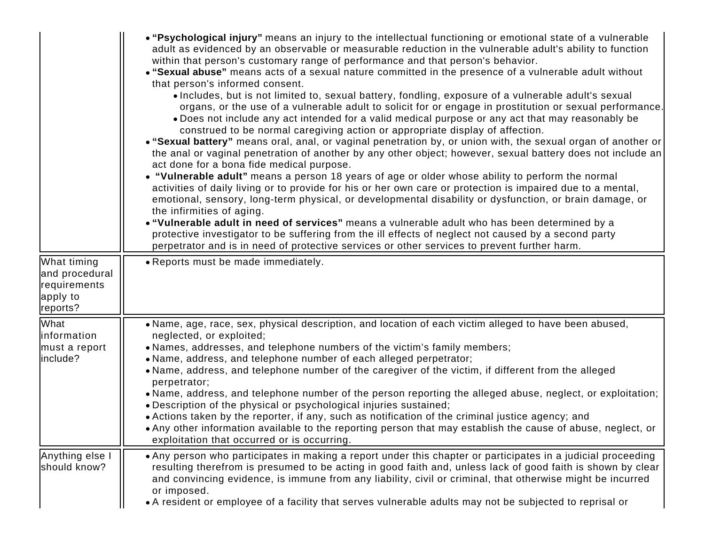|                                                                       | . "Psychological injury" means an injury to the intellectual functioning or emotional state of a vulnerable<br>adult as evidenced by an observable or measurable reduction in the vulnerable adult's ability to function<br>within that person's customary range of performance and that person's behavior.<br>• "Sexual abuse" means acts of a sexual nature committed in the presence of a vulnerable adult without<br>that person's informed consent.<br>• Includes, but is not limited to, sexual battery, fondling, exposure of a vulnerable adult's sexual<br>organs, or the use of a vulnerable adult to solicit for or engage in prostitution or sexual performance.<br>. Does not include any act intended for a valid medical purpose or any act that may reasonably be<br>construed to be normal caregiving action or appropriate display of affection.<br>• "Sexual battery" means oral, anal, or vaginal penetration by, or union with, the sexual organ of another or<br>the anal or vaginal penetration of another by any other object; however, sexual battery does not include an<br>act done for a bona fide medical purpose.<br>• "Vulnerable adult" means a person 18 years of age or older whose ability to perform the normal<br>activities of daily living or to provide for his or her own care or protection is impaired due to a mental,<br>emotional, sensory, long-term physical, or developmental disability or dysfunction, or brain damage, or<br>the infirmities of aging.<br>. "Vulnerable adult in need of services" means a vulnerable adult who has been determined by a<br>protective investigator to be suffering from the ill effects of neglect not caused by a second party<br>perpetrator and is in need of protective services or other services to prevent further harm. |
|-----------------------------------------------------------------------|----------------------------------------------------------------------------------------------------------------------------------------------------------------------------------------------------------------------------------------------------------------------------------------------------------------------------------------------------------------------------------------------------------------------------------------------------------------------------------------------------------------------------------------------------------------------------------------------------------------------------------------------------------------------------------------------------------------------------------------------------------------------------------------------------------------------------------------------------------------------------------------------------------------------------------------------------------------------------------------------------------------------------------------------------------------------------------------------------------------------------------------------------------------------------------------------------------------------------------------------------------------------------------------------------------------------------------------------------------------------------------------------------------------------------------------------------------------------------------------------------------------------------------------------------------------------------------------------------------------------------------------------------------------------------------------------------------------------------------------------------------------------------------------------------------------------|
| What timing<br>and procedural<br>requirements<br>apply to<br>reports? | • Reports must be made immediately.                                                                                                                                                                                                                                                                                                                                                                                                                                                                                                                                                                                                                                                                                                                                                                                                                                                                                                                                                                                                                                                                                                                                                                                                                                                                                                                                                                                                                                                                                                                                                                                                                                                                                                                                                                                  |
| What<br>linformation<br>must a report<br>linclude?                    | • Name, age, race, sex, physical description, and location of each victim alleged to have been abused,<br>neglected, or exploited;<br>• Names, addresses, and telephone numbers of the victim's family members;<br>• Name, address, and telephone number of each alleged perpetrator;<br>• Name, address, and telephone number of the caregiver of the victim, if different from the alleged<br>perpetrator;<br>• Name, address, and telephone number of the person reporting the alleged abuse, neglect, or exploitation;<br>• Description of the physical or psychological injuries sustained;<br>• Actions taken by the reporter, if any, such as notification of the criminal justice agency; and<br>• Any other information available to the reporting person that may establish the cause of abuse, neglect, or<br>exploitation that occurred or is occurring.                                                                                                                                                                                                                                                                                                                                                                                                                                                                                                                                                                                                                                                                                                                                                                                                                                                                                                                                                 |
| Anything else I<br>should know?                                       | • Any person who participates in making a report under this chapter or participates in a judicial proceeding<br>resulting therefrom is presumed to be acting in good faith and, unless lack of good faith is shown by clear<br>and convincing evidence, is immune from any liability, civil or criminal, that otherwise might be incurred<br>or imposed.<br>• A resident or employee of a facility that serves vulnerable adults may not be subjected to reprisal or                                                                                                                                                                                                                                                                                                                                                                                                                                                                                                                                                                                                                                                                                                                                                                                                                                                                                                                                                                                                                                                                                                                                                                                                                                                                                                                                                 |